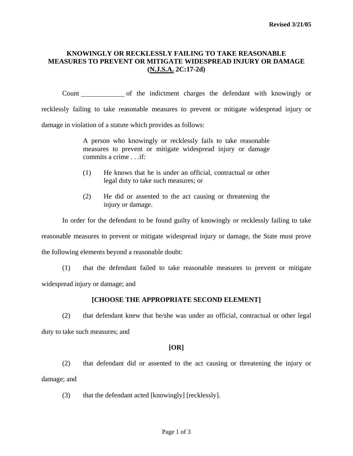## **KNOWINGLY OR RECKLESSLY FAILING TO TAKE REASONABLE MEASURES TO PREVENT OR MITIGATE WIDESPREAD INJURY OR DAMAGE (N.J.S.A. 2C:17-2d)**

Count of the indictment charges the defendant with knowingly or recklessly failing to take reasonable measures to prevent or mitigate widespread injury or damage in violation of a statute which provides as follows:

> A person who knowingly or recklessly fails to take reasonable measures to prevent or mitigate widespread injury or damage  $commits$  a crime  $\qquad$  if:

- (1) He knows that he is under an official, contractual or other legal duty to take such measures; or
- (2) He did or assented to the act causing or threatening the injury or damage.

In order for the defendant to be found guilty of knowingly or recklessly failing to take

reasonable measures to prevent or mitigate widespread injury or damage, the State must prove

the following elements beyond a reasonable doubt:

 (1) that the defendant failed to take reasonable measures to prevent or mitigate widespread injury or damage; and

# **[CHOOSE THE APPROPRIATE SECOND ELEMENT]**

 (2) that defendant knew that he/she was under an official, contractual or other legal duty to take such measures; and

## **[OR]**

<span id="page-0-0"></span> (2) that defendant did or assented to the act causing or threatening the injury or damage; and

(3) that the defendant acted [knowingly] [recklessly].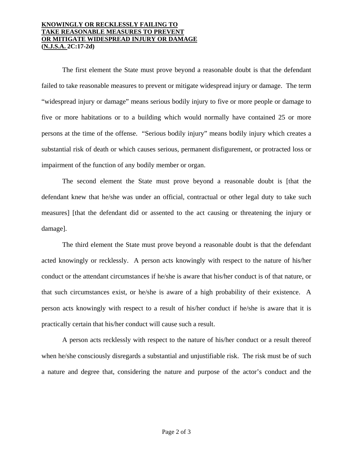### **KNOWINGLY OR RECKLESSLY FAILING TO TAKE REASONABLE MEASURES TO PREVENT OR MITIGATE WIDESPREAD INJURY OR DAMAGE (N.J.S.A. 2C:17-2d)**

 The first element the State must prove beyond a reasonable doubt is that the defendant failed to take reasonable measures to prevent or mitigate widespread injury or damage. The term "widespread injury or damage" means serious bodily injury to five or more people or damage to five or more habitations or to a building which would normally have contained 25 or more persons at the time of the offense. "Serious bodily injury" means bodily injury which creates a substantial risk of death or which causes serious, permanent disfigurement, or protracted loss or impairment of the function of any bodily member or organ.

 The second element the State must prove beyond a reasonable doubt is [that the defendant knew that he/she was under an official, contractual or other legal duty to take such measures] [that the defendant did or assented to the act causing or threatening the injury or damage].

 The third element the State must prove beyond a reasonable doubt is that the defendant acted knowingly or recklessly. A person acts knowingly with respect to the nature of his/her conduct or the attendant circumstances if he/she is aware that his/her conduct is of that nature, or that such circumstances exist, or he/she is aware of a high probability of their existence. A person acts knowingly with respect to a result of his/her conduct if he/she is aware that it is practically certain that his/her conduct will cause such a result.

 A person acts recklessly with respect to the nature of his/her conduct or a result thereof when he/she consciously disregards a substantial and unjustifiable risk. The risk must be of such a nature and degree that, considering the nature and purpose of the actor's conduct and the